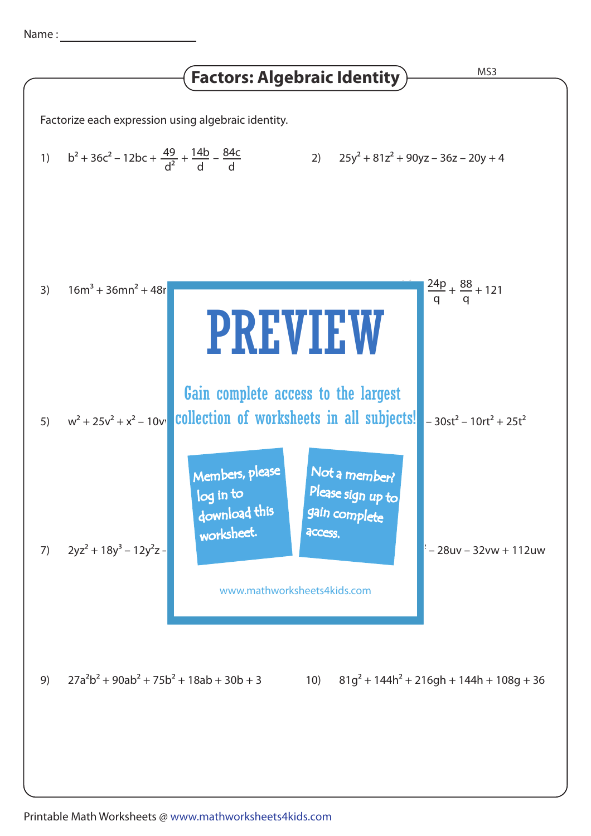